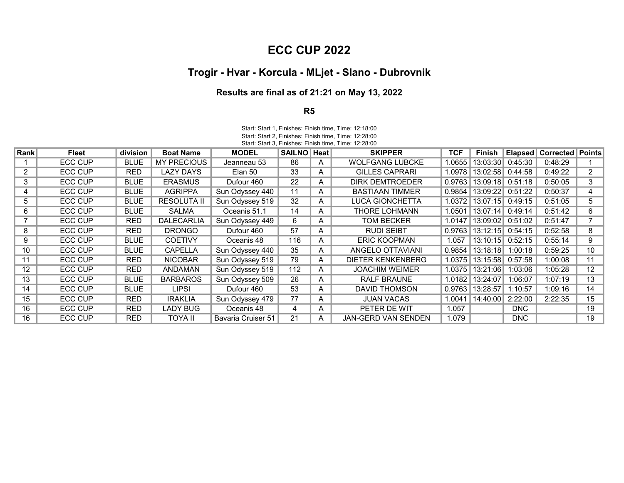## ECC CUP 2022

## Trogir - Hvar - Korcula - MLjet - Slano - Dubrovnik

## Results are final as of 21:21 on May 13, 2022

## R5

Start: Start 3, Finishes: Finish time, Time: 12:28:00 Start: Start 1, Finishes: Finish time, Time: 12:18:00 Start: Start 2, Finishes: Finish time, Time: 12:28:00

| Rank | <b>Fleet</b> | <b>division</b> | <b>Boat Name</b>   | <b>MODEL</b>       | <b>SAILNO Heat</b> |   | <b>SKIPPER</b>             | <b>TCF</b> | Finish              |         | <b>Elapsed   Corrected   Points</b> |                   |
|------|--------------|-----------------|--------------------|--------------------|--------------------|---|----------------------------|------------|---------------------|---------|-------------------------------------|-------------------|
|      | ECC CUP      | BLUE            | <b>MY PRECIOUS</b> | Jeanneau 53        | 86                 | A | <b>WOLFGANG LUBCKE</b>     | 1.0655     | 13:03:30            | 0:45:30 | 0:48:29                             |                   |
|      | ECC CUP      | <b>RED</b>      | LAZY DAYS          | Elan 50            | 33                 | A | <b>GILLES CAPRARI</b>      |            | 1.0978 13:02:58     | 0:44:58 | 0:49:22                             | 2                 |
| 3    | ECC CUP      | <b>BLUE</b>     | <b>ERASMUS</b>     | Dufour 460         | 22                 | A | DIRK DEMTROEDER            | 0.9763     | 13:09:18            | 0:51:18 | 0:50:05                             | 3                 |
| 4    | ECC CUP      | <b>BLUE</b>     | <b>AGRIPPA</b>     | Sun Odyssey 440    | 11                 | A | <b>BASTIAAN TIMMER</b>     | 0.9854     | 13:09:22 0:51:22    |         | 0:50:37                             | 4                 |
| 5    | ECC CUP      | <b>BLUE</b>     | <b>RESOLUTA II</b> | Sun Odyssey 519    | 32                 | A | <b>LUCA GIONCHETTA</b>     |            | 1.0372 13:07:15     | 0:49:15 | 0:51:05                             | 5                 |
| 6    | ECC CUP      | <b>BLUE</b>     | <b>SALMA</b>       | Oceanis 51.1       | 14                 | A | <b>THORE LOHMANN</b>       | 1.0501     | 13:07:14            | 0:49:14 | 0:51:42                             | 6                 |
|      | ECC CUP      | RED             | <b>DALECARLIA</b>  | Sun Odyssey 449    | 6                  | A | TOM BECKER                 | 1.0147     | 13:09:02            | 0:51:02 | 0:51:47                             |                   |
| 8    | ECC CUP      | <b>RED</b>      | <b>DRONGO</b>      | Dufour 460         | 57                 | A | <b>RUDI SEIBT</b>          |            | $0.9763$   13:12:15 | 0:54:15 | 0:52:58                             | 8                 |
| 9    | ECC CUP      | <b>BLUE</b>     | <b>COETIVY</b>     | Oceanis 48         | 116                | A | <b>ERIC KOOPMAN</b>        | 1.057      | 13:10:15            | 0:52:15 | 0:55:14                             | 9                 |
| 10   | ECC CUP      | <b>BLUE</b>     | <b>CAPELLA</b>     | Sun Odyssey 440    | 35                 | A | ANGELO OTTAVIANI           |            | $0.9854$   13:18:18 | 1:00:18 | 0:59:25                             | 10                |
| 11   | ECC CUP      | <b>RED</b>      | <b>NICOBAR</b>     | Sun Odyssey 519    | 79                 | A | <b>DIETER KENKENBERG</b>   | 1.0375     | 13:15:58            | 0:57:58 | 1:00:08                             | 11                |
| 12   | ECC CUP      | <b>RED</b>      | ANDAMAN            | Sun Odyssey 519    | 112                | A | <b>JOACHIM WEIMER</b>      | 1.0375     | 13:21:06            | 1:03:06 | 1:05:28                             | $12 \overline{ }$ |
| 13   | ECC CUP      | <b>BLUE</b>     | <b>BARBAROS</b>    | Sun Odyssey 509    | 26                 | A | <b>RALF BRAUNE</b>         | 1.0182     | 13:24:07            | 1:06:07 | 1:07:19                             | 13                |
| 14   | ECC CUP      | <b>BLUE</b>     | LIPSI              | Dufour 460         | 53                 | A | DAVID THOMSON              | 0.9763     | 13:28:57            | 1:10:57 | 1:09:16                             | 14                |
| 15   | ECC CUP      | <b>RED</b>      | <b>IRAKLIA</b>     | Sun Odyssey 479    | 77                 | A | <b>JUAN VACAS</b>          | 1.0041     | 14:40:00            | 2:22:00 | 2:22:35                             | 15                |
| 16   | ECC CUP      | <b>RED</b>      | LADY BUG           | Oceanis 48         | 4                  | A | PETER DE WIT               | 1.057      |                     | DNC     |                                     | 19                |
| 16   | ECC CUP      | <b>RED</b>      | TOYA II            | Bavaria Cruiser 51 | 21                 | A | <b>JAN-GERD VAN SENDEN</b> | 1.079      |                     | DNC.    |                                     | 19                |